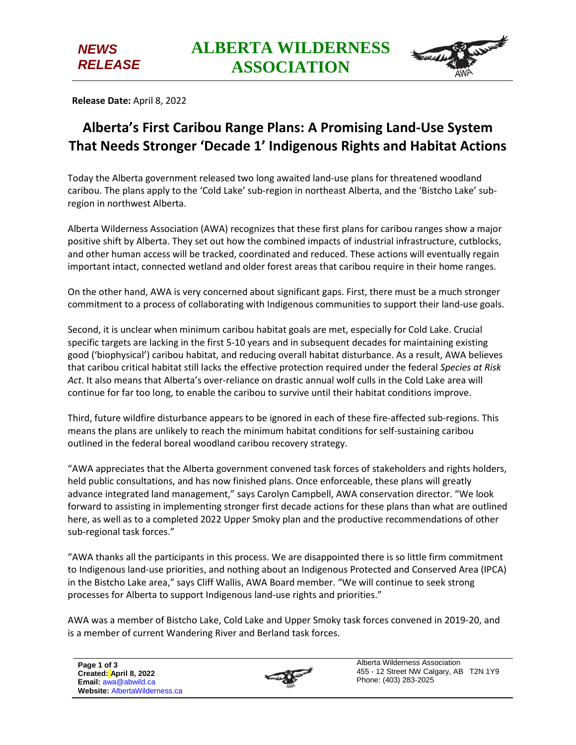

**Release Date:** April 8, 2022

*NEWS RELEASE*

## **Alberta's First Caribou Range Plans: A Promising Land-Use System That Needs Stronger 'Decade 1' Indigenous Rights and Habitat Actions**

Today the Alberta government released two long awaited land-use plans for threatened woodland caribou. The plans apply to the 'Cold Lake' sub-region in northeast Alberta, and the 'Bistcho Lake' subregion in northwest Alberta.

Alberta Wilderness Association (AWA) recognizes that these first plans for caribou ranges show a major positive shift by Alberta. They set out how the combined impacts of industrial infrastructure, cutblocks, and other human access will be tracked, coordinated and reduced. These actions will eventually regain important intact, connected wetland and older forest areas that caribou require in their home ranges.

On the other hand, AWA is very concerned about significant gaps. First, there must be a much stronger commitment to a process of collaborating with Indigenous communities to support their land-use goals.

Second, it is unclear when minimum caribou habitat goals are met, especially for Cold Lake. Crucial specific targets are lacking in the first 5-10 years and in subsequent decades for maintaining existing good ('biophysical') caribou habitat, and reducing overall habitat disturbance. As a result, AWA believes that caribou critical habitat still lacks the effective protection required under the federal *Species at Risk Act*. It also means that Alberta's over-reliance on drastic annual wolf culls in the Cold Lake area will continue for far too long, to enable the caribou to survive until their habitat conditions improve.

Third, future wildfire disturbance appears to be ignored in each of these fire-affected sub-regions. This means the plans are unlikely to reach the minimum habitat conditions for self-sustaining caribou outlined in the federal boreal woodland caribou recovery strategy.

"AWA appreciates that the Alberta government convened task forces of stakeholders and rights holders, held public consultations, and has now finished plans. Once enforceable, these plans will greatly advance integrated land management," says Carolyn Campbell, AWA conservation director. "We look forward to assisting in implementing stronger first decade actions for these plans than what are outlined here, as well as to a completed 2022 Upper Smoky plan and the productive recommendations of other sub-regional task forces."

"AWA thanks all the participants in this process. We are disappointed there is so little firm commitment to Indigenous land-use priorities, and nothing about an Indigenous Protected and Conserved Area (IPCA) in the Bistcho Lake area," says Cliff Wallis, AWA Board member. "We will continue to seek strong processes for Alberta to support Indigenous land-use rights and priorities."

AWA was a member of Bistcho Lake, Cold Lake and Upper Smoky task forces convened in 2019-20, and is a member of current Wandering River and Berland task forces.



Alberta Wilderness Association 455 - 12 Street NW Calgary, AB T2N 1Y9 Phone: (403) 283-2025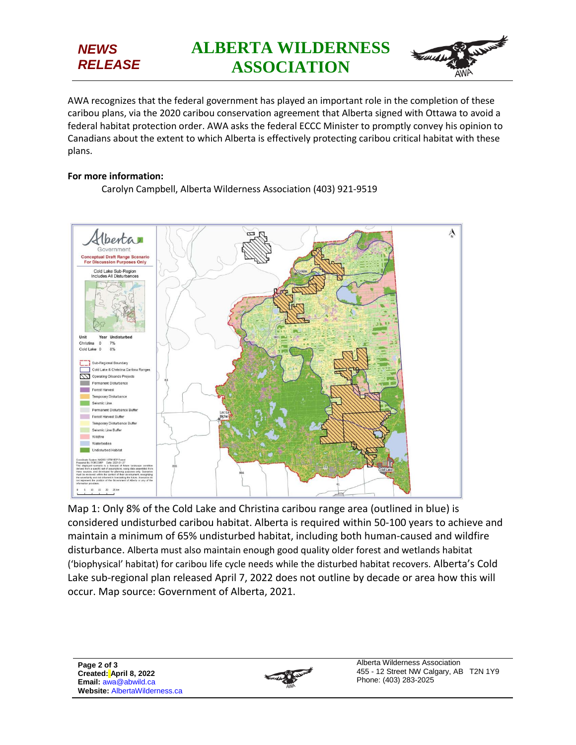## *NEWS RELEASE*



AWA recognizes that the federal government has played an important role in the completion of these caribou plans, via the 2020 caribou conservation agreement that Alberta signed with Ottawa to avoid a federal habitat protection order. AWA asks the federal ECCC Minister to promptly convey his opinion to Canadians about the extent to which Alberta is effectively protecting caribou critical habitat with these plans.

## **For more information:**

Carolyn Campbell, Alberta Wilderness Association (403) 921-9519



Map 1: Only 8% of the Cold Lake and Christina caribou range area (outlined in blue) is considered undisturbed caribou habitat. Alberta is required within 50-100 years to achieve and maintain a minimum of 65% undisturbed habitat, including both human-caused and wildfire disturbance. Alberta must also maintain enough good quality older forest and wetlands habitat ('biophysical' habitat) for caribou life cycle needs while the disturbed habitat recovers. Alberta's Cold Lake sub-regional plan released April 7, 2022 does not outline by decade or area how this will occur. Map source: Government of Alberta, 2021.